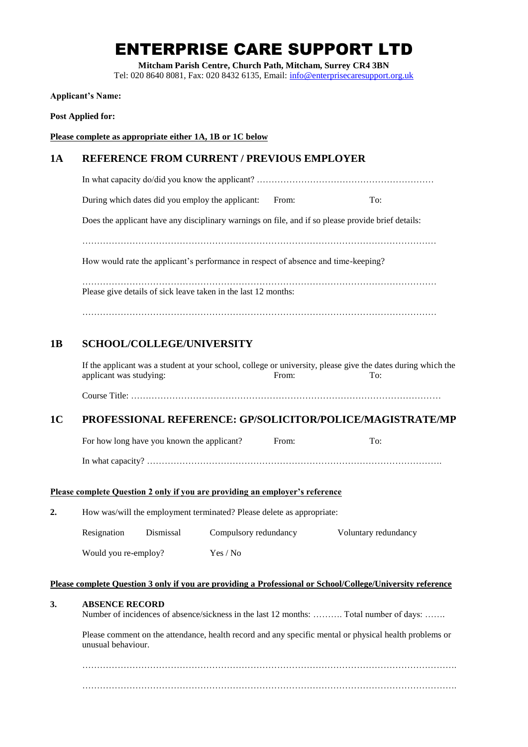# ENTERPRISE CARE SUPPORT LTD

**Mitcham Parish Centre, Church Path, Mitcham, Surrey CR4 3BN**

Tel: 020 8640 8081, Fax: 020 8432 6135, Email: [info@enterprisecaresupport.org.uk](mailto:info@enterprisecaresupport.org.uk)

**Applicant's Name:**

**Post Applied for:** 

**Please complete as appropriate either 1A, 1B or 1C below**

## **1A REFERENCE FROM CURRENT / PREVIOUS EMPLOYER**

In what capacity do/did you know the applicant? ………………………………………………………………………………………

During which dates did you employ the applicant: From: To:

Does the applicant have any disciplinary warnings on file, and if so please provide brief details:

…………………………………………………………………………………………………………

How would rate the applicant's performance in respect of absence and time-keeping?

………………………………………………………………………………………………………… Please give details of sick leave taken in the last 12 months:

…………………………………………………………………………………………………………

# **1B SCHOOL/COLLEGE/UNIVERSITY**

If the applicant was a student at your school, college or university, please give the dates during which the applicant was studying: From: From: To:

Course Title: ……………………………………………………………………………………………

# **1C PROFESSIONAL REFERENCE: GP/SOLICITOR/POLICE/MAGISTRATE/MP**

For how long have you known the applicant? From: To:

In what capacity? ……………………………………………………………………………………….

## **Please complete Question 2 only if you are providing an employer's reference**

**2.** How was/will the employment terminated? Please delete as appropriate:

| Resignation          | Dismissal | Compulsory redundancy | Voluntary redundancy |
|----------------------|-----------|-----------------------|----------------------|
| Would you re-employ? |           | Yes / No              |                      |

#### **Please complete Question 3 only if you are providing a Professional or School/College/University reference**

#### **3. ABSENCE RECORD**

Number of incidences of absence/sickness in the last 12 months: ………. Total number of days: …….

Please comment on the attendance, health record and any specific mental or physical health problems or unusual behaviour.

……………………………………………………………………………………………………………….